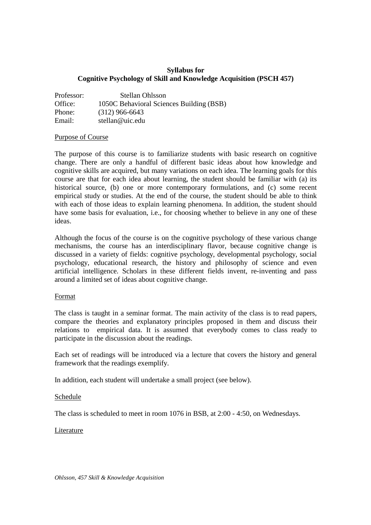# **Syllabus for Cognitive Psychology of Skill and Knowledge Acquisition (PSCH 457)**

| Professor: | Stellan Ohlsson                          |
|------------|------------------------------------------|
| Office:    | 1050C Behavioral Sciences Building (BSB) |
| Phone:     | $(312)$ 966-6643                         |
| Email:     | stellan@uic.edu                          |

### Purpose of Course

The purpose of this course is to familiarize students with basic research on cognitive change. There are only a handful of different basic ideas about how knowledge and cognitive skills are acquired, but many variations on each idea. The learning goals for this course are that for each idea about learning, the student should be familiar with (a) its historical source, (b) one or more contemporary formulations, and (c) some recent empirical study or studies. At the end of the course, the student should be able to think with each of those ideas to explain learning phenomena. In addition, the student should have some basis for evaluation, i.e., for choosing whether to believe in any one of these ideas.

Although the focus of the course is on the cognitive psychology of these various change mechanisms, the course has an interdisciplinary flavor, because cognitive change is discussed in a variety of fields: cognitive psychology, developmental psychology, social psychology, educational research, the history and philosophy of science and even artificial intelligence. Scholars in these different fields invent, re-inventing and pass around a limited set of ideas about cognitive change.

## Format

The class is taught in a seminar format. The main activity of the class is to read papers, compare the theories and explanatory principles proposed in them and discuss their relations to empirical data. It is assumed that everybody comes to class ready to participate in the discussion about the readings.

Each set of readings will be introduced via a lecture that covers the history and general framework that the readings exemplify.

In addition, each student will undertake a small project (see below).

### Schedule

The class is scheduled to meet in room 1076 in BSB, at 2:00 - 4:50, on Wednesdays.

### Literature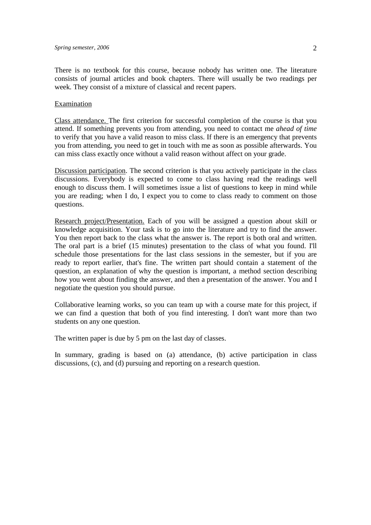There is no textbook for this course, because nobody has written one. The literature consists of journal articles and book chapters. There will usually be two readings per week. They consist of a mixture of classical and recent papers.

#### Examination

Class attendance. The first criterion for successful completion of the course is that you attend. If something prevents you from attending, you need to contact me *ahead of time* to verify that you have a valid reason to miss class. If there is an emergency that prevents you from attending, you need to get in touch with me as soon as possible afterwards. You can miss class exactly once without a valid reason without affect on your grade.

Discussion participation. The second criterion is that you actively participate in the class discussions. Everybody is expected to come to class having read the readings well enough to discuss them. I will sometimes issue a list of questions to keep in mind while you are reading; when I do, I expect you to come to class ready to comment on those questions.

Research project/Presentation. Each of you will be assigned a question about skill or knowledge acquisition. Your task is to go into the literature and try to find the answer. You then report back to the class what the answer is. The report is both oral and written. The oral part is a brief (15 minutes) presentation to the class of what you found. I'll schedule those presentations for the last class sessions in the semester, but if you are ready to report earlier, that's fine. The written part should contain a statement of the question, an explanation of why the question is important, a method section describing how you went about finding the answer, and then a presentation of the answer. You and I negotiate the question you should pursue.

Collaborative learning works, so you can team up with a course mate for this project, if we can find a question that both of you find interesting. I don't want more than two students on any one question.

The written paper is due by 5 pm on the last day of classes.

In summary, grading is based on (a) attendance, (b) active participation in class discussions, (c), and (d) pursuing and reporting on a research question.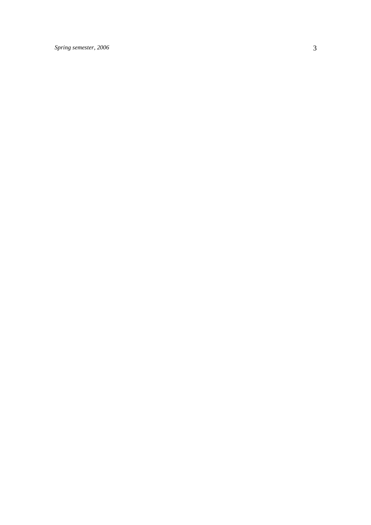*Spring semester, 2006* 3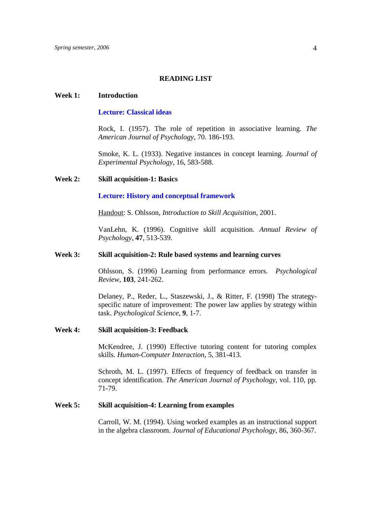### **READING LIST**

### **Week 1: Introduction**

### **Lecture: Classical ideas**

Rock, I. (1957). The role of repetition in associative learning. *The American Journal of Psychology*, 70. 186-193.

Smoke, K. L. (1933). Negative instances in concept learning. *Journal of Experimental Psychology*, 16, 583-588.

#### **Week 2: Skill acquisition-1: Basics**

 **Lecture: History and conceptual framework**

Handout: S. Ohlsson, *Introduction to Skill Acquisition*, 2001.

VanLehn, K. (1996). Cognitive skill acquisition. *Annual Review of Psychology*, **47**, 513-539.

#### **Week 3: Skill acquisition-2: Rule based systems and learning curves**

Ohlsson, S. (1996) Learning from performance errors. *Psychological Review*, **103**, 241-262.

Delaney, P., Reder, L., Staszewski, J., & Ritter, F. (1998) The strategyspecific nature of improvement: The power law applies by strategy within task. *Psychological Science*, **9**, 1-7.

#### **Week 4: Skill acquisition-3: Feedback**

McKendree, J. (1990) Effective tutoring content for tutoring complex skills. *Human-Computer Interaction*, 5, 381-413.

Schroth, M. L. (1997). Effects of frequency of feedback on transfer in concept identification. *The American Journal of Psychology*, vol. 110, pp. 71-79.

#### **Week 5: Skill acquisition-4: Learning from examples**

Carroll, W. M. (1994). Using worked examples as an instructional support in the algebra classroom. *Journal of Educational Psychology*, 86, 360-367.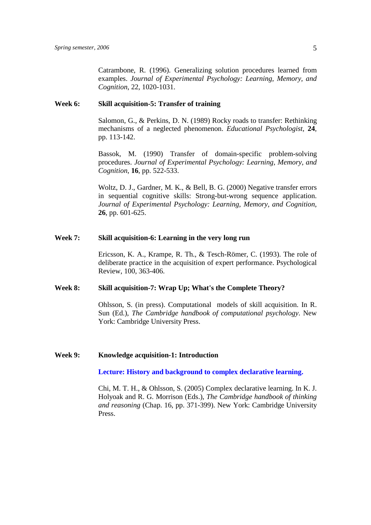Catrambone, R. (1996). Generalizing solution procedures learned from examples. *Journal of Experimental Psychology: Learning, Memory, and Cognition*, 22, 1020-1031.

### **Week 6: Skill acquisition-5: Transfer of training**

Salomon, G., & Perkins, D. N. (1989) Rocky roads to transfer: Rethinking mechanisms of a neglected phenomenon. *Educational Psychologist*, **24**, pp. 113-142.

Bassok, M. (1990) Transfer of domain-specific problem-solving procedures. *Journal of Experimental Psychology: Learning, Memory, and Cognition*, **16**, pp. 522-533.

Woltz, D. J., Gardner, M. K., & Bell, B. G. (2000) Negative transfer errors in sequential cognitive skills: Strong-but-wrong sequence application. *Journal of Experimental Psychology: Learning, Memory, and Cognition*, **26**, pp. 601-625.

### **Week 7: Skill acquisition-6: Learning in the very long run**

Ericsson, K. A., Krampe, R. Th., & Tesch-Römer, C. (1993). The role of deliberate practice in the acquisition of expert performance. Psychological Review, 100, 363-406.

### **Week 8: Skill acquisition-7: Wrap Up; What's the Complete Theory?**

Ohlsson, S. (in press). Computational models of skill acquisition. In R. Sun (Ed.), *The Cambridge handbook of computational psychology*. New York: Cambridge University Press.

#### **Week 9: Knowledge acquisition-1: Introduction**

**Lecture: History and background to complex declarative learning.**

Chi, M. T. H., & Ohlsson, S. (2005) Complex declarative learning. In K. J. Holyoak and R. G. Morrison (Eds.), *The Cambridge handbook of thinking and reasoning* (Chap. 16, pp. 371-399). New York: Cambridge University Press.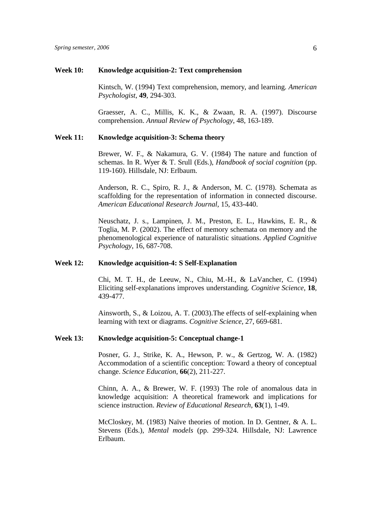#### **Week 10: Knowledge acquisition-2: Text comprehension**

Kintsch, W. (1994) Text comprehension, memory, and learning. *American Psychologist*, **49**, 294-303.

Graesser, A. C., Millis, K. K., & Zwaan, R. A. (1997). Discourse comprehension. *Annual Review of Psychology*, 48, 163-189.

#### **Week 11: Knowledge acquisition-3: Schema theory**

Brewer, W. F., & Nakamura, G. V. (1984) The nature and function of schemas. In R. Wyer & T. Srull (Eds.), *Handbook of social cognition* (pp. 119-160). Hillsdale, NJ: Erlbaum.

Anderson, R. C., Spiro, R. J., & Anderson, M. C. (1978). Schemata as scaffolding for the representation of information in connected discourse. *American Educational Research Journal*, 15, 433-440.

Neuschatz, J. s., Lampinen, J. M., Preston, E. L., Hawkins, E. R., & Toglia, M. P. (2002). The effect of memory schemata on memory and the phenomenological experience of naturalistic situations. *Applied Cognitive Psychology*, 16, 687-708.

## **Week 12: Knowledge acquisition-4: S Self-Explanation**

Chi, M. T. H., de Leeuw, N., Chiu, M.-H., & LaVancher, C. (1994) Eliciting self-explanations improves understanding. *Cognitive Science*, **18**, 439-477.

Ainsworth, S., & Loizou, A. T. (2003).The effects of self-explaining when learning with text or diagrams. *Cognitive Science*, 27, 669-681.

# **Week 13: Knowledge acquisition-5: Conceptual change-1**

Posner, G. J., Strike, K. A., Hewson, P. w., & Gertzog, W. A. (1982) Accommodation of a scientific conception: Toward a theory of conceptual change. *Science Education*, **66**(2), 211-227.

Chinn, A. A., & Brewer, W. F. (1993) The role of anomalous data in knowledge acquisition: A theoretical framework and implications for science instruction. *Review of Educational Research*, **63**(1), 1-49.

McCloskey, M. (1983) Naïve theories of motion. In D. Gentner, & A. L. Stevens (Eds.), *Mental models* (pp. 299-324. Hillsdale, NJ: Lawrence Erlbaum.